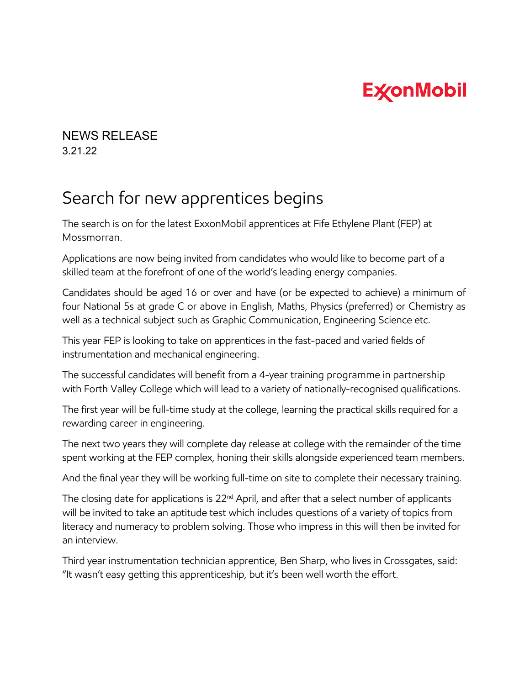## **ExconMobil**

## NEWS RELEASE 3.21.22

## Search for new apprentices begins

The search is on for the latest ExxonMobil apprentices at Fife Ethylene Plant (FEP) at Mossmorran.

Applications are now being invited from candidates who would like to become part of a skilled team at the forefront of one of the world's leading energy companies.

Candidates should be aged 16 or over and have (or be expected to achieve) a minimum of four National 5s at grade C or above in English, Maths, Physics (preferred) or Chemistry as well as a technical subject such as Graphic Communication, Engineering Science etc.

This year FEP is looking to take on apprentices in the fast-paced and varied fields of instrumentation and mechanical engineering.

The successful candidates will benefit from a 4-year training programme in partnership with Forth Valley College which will lead to a variety of nationally-recognised qualifications.

The first year will be full-time study at the college, learning the practical skills required for a rewarding career in engineering.

The next two years they will complete day release at college with the remainder of the time spent working at the FEP complex, honing their skills alongside experienced team members.

And the final year they will be working full-time on site to complete their necessary training.

The closing date for applications is 22<sup>nd</sup> April, and after that a select number of applicants will be invited to take an aptitude test which includes questions of a variety of topics from literacy and numeracy to problem solving. Those who impress in this will then be invited for an interview.

Third year instrumentation technician apprentice, Ben Sharp, who lives in Crossgates, said: "It wasn't easy getting this apprenticeship, but it's been well worth the effort.